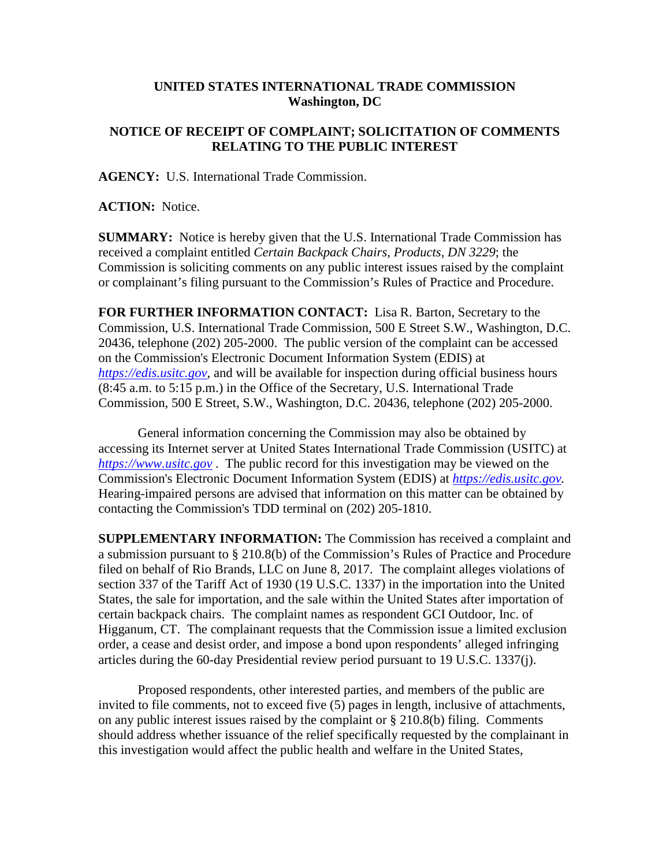## **UNITED STATES INTERNATIONAL TRADE COMMISSION Washington, DC**

## **NOTICE OF RECEIPT OF COMPLAINT; SOLICITATION OF COMMENTS RELATING TO THE PUBLIC INTEREST**

**AGENCY:** U.S. International Trade Commission.

**ACTION:** Notice.

**SUMMARY:** Notice is hereby given that the U.S. International Trade Commission has received a complaint entitled *Certain Backpack Chairs, Products, DN 3229*; the Commission is soliciting comments on any public interest issues raised by the complaint or complainant's filing pursuant to the Commission's Rules of Practice and Procedure.

**FOR FURTHER INFORMATION CONTACT:** Lisa R. Barton, Secretary to the Commission, U.S. International Trade Commission, 500 E Street S.W., Washington, D.C. 20436, telephone (202) 205-2000. The public version of the complaint can be accessed on the Commission's Electronic Document Information System (EDIS) at *[https://edis.usitc.gov](https://edis.usitc.gov/)*, and will be available for inspection during official business hours (8:45 a.m. to 5:15 p.m.) in the Office of the Secretary, U.S. International Trade Commission, 500 E Street, S.W., Washington, D.C. 20436, telephone (202) 205-2000.

General information concerning the Commission may also be obtained by accessing its Internet server at United States International Trade Commission (USITC) at *[https://www.usitc.gov](https://www.usitc.gov/)* . The public record for this investigation may be viewed on the Commission's Electronic Document Information System (EDIS) at *[https://edis.usitc.gov.](https://edis.usitc.gov/)* Hearing-impaired persons are advised that information on this matter can be obtained by contacting the Commission's TDD terminal on (202) 205-1810.

**SUPPLEMENTARY INFORMATION:** The Commission has received a complaint and a submission pursuant to § 210.8(b) of the Commission's Rules of Practice and Procedure filed on behalf of Rio Brands, LLC on June 8, 2017. The complaint alleges violations of section 337 of the Tariff Act of 1930 (19 U.S.C. 1337) in the importation into the United States, the sale for importation, and the sale within the United States after importation of certain backpack chairs. The complaint names as respondent GCI Outdoor, Inc. of Higganum, CT. The complainant requests that the Commission issue a limited exclusion order, a cease and desist order, and impose a bond upon respondents' alleged infringing articles during the 60-day Presidential review period pursuant to 19 U.S.C. 1337(j).

Proposed respondents, other interested parties, and members of the public are invited to file comments, not to exceed five (5) pages in length, inclusive of attachments, on any public interest issues raised by the complaint or § 210.8(b) filing. Comments should address whether issuance of the relief specifically requested by the complainant in this investigation would affect the public health and welfare in the United States,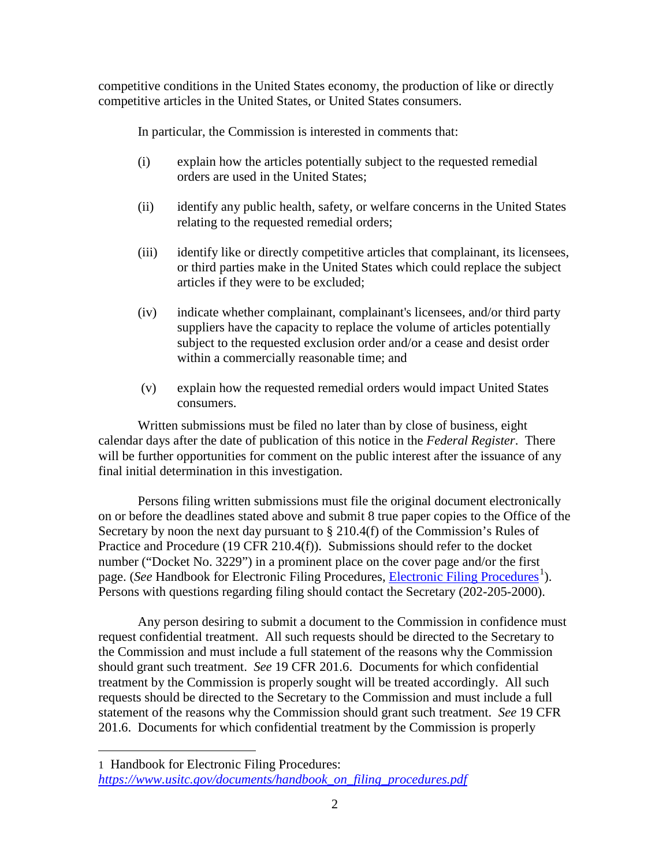competitive conditions in the United States economy, the production of like or directly competitive articles in the United States, or United States consumers.

In particular, the Commission is interested in comments that:

- (i) explain how the articles potentially subject to the requested remedial orders are used in the United States;
- (ii) identify any public health, safety, or welfare concerns in the United States relating to the requested remedial orders;
- (iii) identify like or directly competitive articles that complainant, its licensees, or third parties make in the United States which could replace the subject articles if they were to be excluded;
- (iv) indicate whether complainant, complainant's licensees, and/or third party suppliers have the capacity to replace the volume of articles potentially subject to the requested exclusion order and/or a cease and desist order within a commercially reasonable time; and
- (v) explain how the requested remedial orders would impact United States consumers.

Written submissions must be filed no later than by close of business, eight calendar days after the date of publication of this notice in the *Federal Register*. There will be further opportunities for comment on the public interest after the issuance of any final initial determination in this investigation.

Persons filing written submissions must file the original document electronically on or before the deadlines stated above and submit 8 true paper copies to the Office of the Secretary by noon the next day pursuant to  $\S 210.4(f)$  of the Commission's Rules of Practice and Procedure (19 CFR 210.4(f)). Submissions should refer to the docket number ("Docket No. 3229") in a prominent place on the cover page and/or the first page. (*See* Handbook for [Electronic Filing Procedures](https://www.usitc.gov/documents/handbook_on_filing_procedures.pdf), *Electronic Filing Procedures*<sup>[1](#page-1-0)</sup>). Persons with questions regarding filing should contact the Secretary (202-205-2000).

Any person desiring to submit a document to the Commission in confidence must request confidential treatment. All such requests should be directed to the Secretary to the Commission and must include a full statement of the reasons why the Commission should grant such treatment. *See* 19 CFR 201.6. Documents for which confidential treatment by the Commission is properly sought will be treated accordingly. All such requests should be directed to the Secretary to the Commission and must include a full statement of the reasons why the Commission should grant such treatment. *See* 19 CFR 201.6. Documents for which confidential treatment by the Commission is properly

 $\overline{a}$ 

<span id="page-1-0"></span><sup>1</sup> Handbook for Electronic Filing Procedures: *[https://www.usitc.gov/documents/handbook\\_on\\_filing\\_procedures.pdf](https://www.usitc.gov/documents/handbook_on_filing_procedures.pdf)*